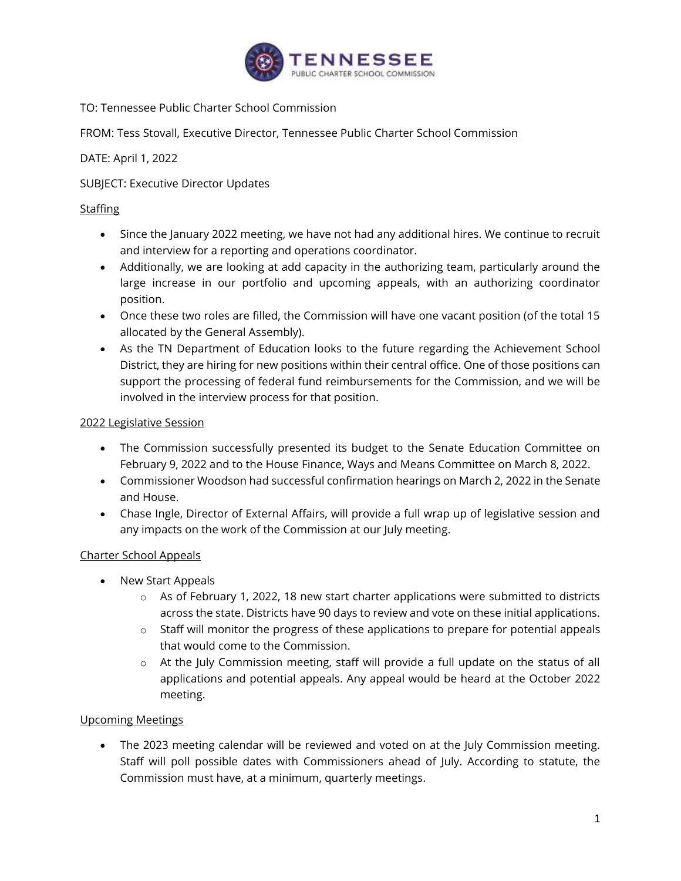

TO: Tennessee Public Charter School Commission

FROM: Tess Stovall, Executive Director, Tennessee Public Charter School Commission

DATE: April 1, 2022

SUBJECT: Executive Director Updates

## **Staffing**

- Since the January 2022 meeting, we have not had any additional hires. We continue to recruit and interview for a reporting and operations coordinator.
- Additionally, we are looking at add capacity in the authorizing team, particularly around the large increase in our portfolio and upcoming appeals, with an authorizing coordinator position.
- Once these two roles are filled, the Commission will have one vacant position (of the total 15 allocated by the General Assembly).
- As the TN Department of Education looks to the future regarding the Achievement School District, they are hiring for new positions within their central office. One of those positions can support the processing of federal fund reimbursements for the Commission, and we will be involved in the interview process for that position.

## 2022 Legislative Session

- The Commission successfully presented its budget to the Senate Education Committee on February 9, 2022 and to the House Finance, Ways and Means Committee on March 8, 2022.
- Commissioner Woodson had successful confirmation hearings on March 2, 2022 in the Senate and House.
- Chase Ingle, Director of External Affairs, will provide a full wrap up of legislative session and any impacts on the work of the Commission at our July meeting.

## Charter School Appeals

- New Start Appeals
	- o As of February 1, 2022, 18 new start charter applications were submitted to districts across the state. Districts have 90 days to review and vote on these initial applications.
	- o Staff will monitor the progress of these applications to prepare for potential appeals that would come to the Commission.
	- o At the July Commission meeting, staff will provide a full update on the status of all applications and potential appeals. Any appeal would be heard at the October 2022 meeting.

## Upcoming Meetings

• The 2023 meeting calendar will be reviewed and voted on at the July Commission meeting. Staff will poll possible dates with Commissioners ahead of July. According to statute, the Commission must have, at a minimum, quarterly meetings.